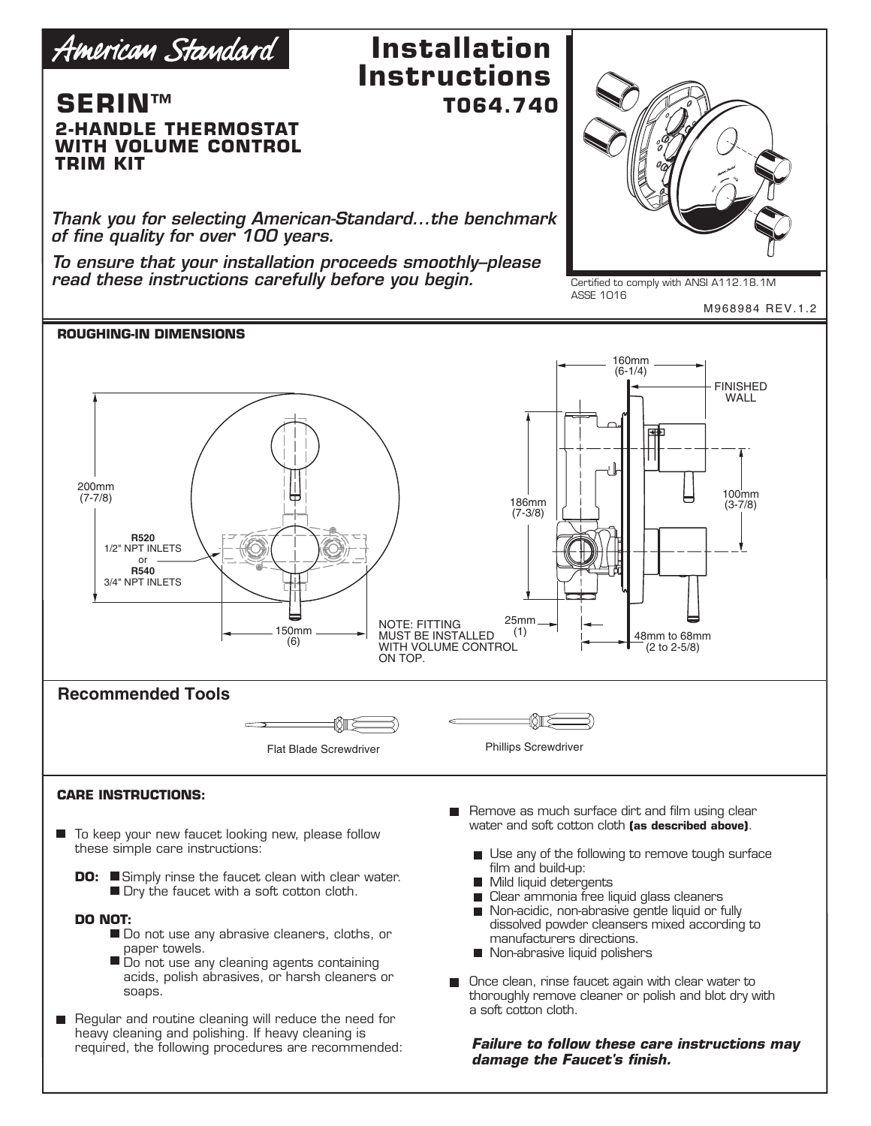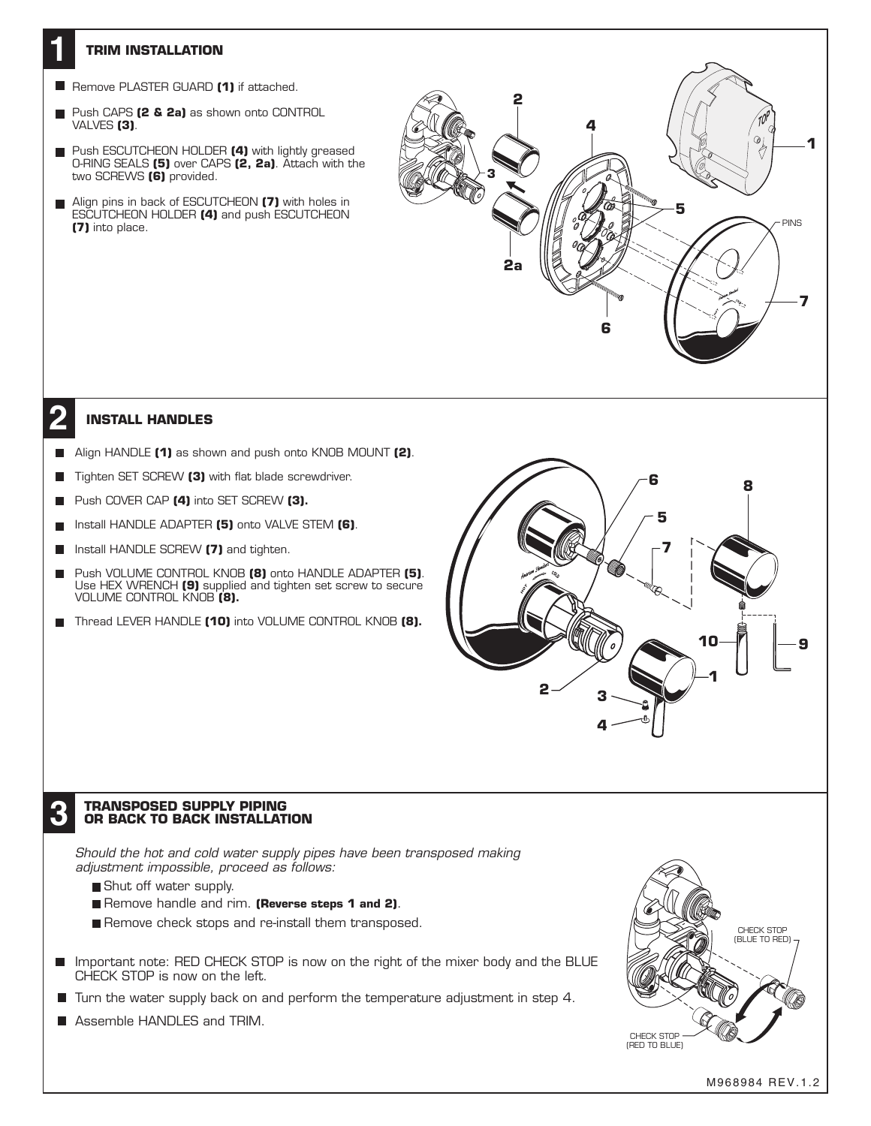## **TRIM INSTALLATION**

**1**

- **Remove PLASTER GUARD (1)** if attached.
- Push CAPS **(2 & 2a)** as shown onto CONTROL VALVES **(3)**.
- **Push ESCUTCHEON HOLDER (4)** with lightly greased O-RING SEALS **(5)** over CAPS **(2, 2a)**. Attach with the two SCREWS **(6)** provided.
- Align pins in back of ESCUTCHEON **(7)** with holes in ESCUTCHEON HOLDER **(4)** and push ESCUTCHEON **(7)** into place.



## **12 INSTALL HANDLES**

- Align HANDLE **(1)** as shown and push onto KNOB MOUNT **(2)**.
- Tighten SET SCREW **(3)** with flat blade screwdriver. П
- Push COVER CAP **(4)** into SET SCREW **(3). The State**
- Install HANDLE ADAPTER **(5)** onto VALVE STEM **(6)**. п
- Install HANDLE SCREW **(7)** and tighten.  $\mathbf{r}$
- Push VOLUME CONTROL KNOB **(8)** onto HANDLE ADAPTER **(5)**. Use HEX WRENCH **(9)** supplied and tighten set screw to secure VOLUME CONTROL KNOB **(8).**
- Thread LEVER HANDLE **(10)** into VOLUME CONTROL KNOB **(8).**



# **TRANSPOSED SUPPLY PIPING 3 OR BACK TO BACK INSTALLATION**

*Should the hot and cold water supply pipes have been transposed making adjustment impossible, proceed as follows:*

- Shut off water supply.
- Remove handle and rim. **(Reverse steps 1 and 2)**.
- Remove check stops and re-install them transposed.
- Important note: RED CHECK STOP is now on the right of the mixer body and the BLUE п CHECK STOP is now on the left.
- $\blacksquare$  Turn the water supply back on and perform the temperature adjustment in step 4.
- **Assemble HANDLES and TRIM.**